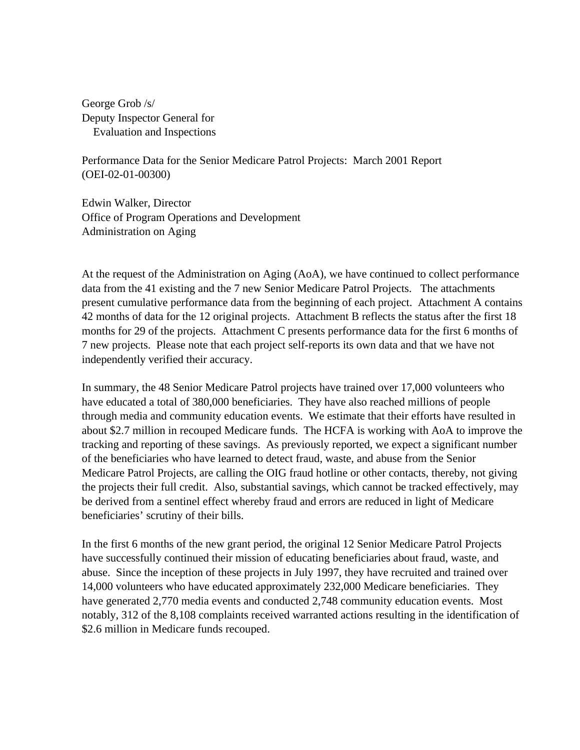George Grob /s/ Deputy Inspector General for Evaluation and Inspections

Performance Data for the Senior Medicare Patrol Projects: March 2001 Report (OEI-02-01-00300)

Edwin Walker, Director Office of Program Operations and Development Administration on Aging

At the request of the Administration on Aging (AoA), we have continued to collect performance data from the 41 existing and the 7 new Senior Medicare Patrol Projects. The attachments present cumulative performance data from the beginning of each project. Attachment A contains 42 months of data for the 12 original projects. Attachment B reflects the status after the first 18 months for 29 of the projects. Attachment C presents performance data for the first 6 months of 7 new projects. Please note that each project self-reports its own data and that we have not independently verified their accuracy.

In summary, the 48 Senior Medicare Patrol projects have trained over 17,000 volunteers who have educated a total of 380,000 beneficiaries. They have also reached millions of people through media and community education events. We estimate that their efforts have resulted in about \$2.7 million in recouped Medicare funds. The HCFA is working with AoA to improve the tracking and reporting of these savings. As previously reported, we expect a significant number of the beneficiaries who have learned to detect fraud, waste, and abuse from the Senior Medicare Patrol Projects, are calling the OIG fraud hotline or other contacts, thereby, not giving the projects their full credit. Also, substantial savings, which cannot be tracked effectively, may be derived from a sentinel effect whereby fraud and errors are reduced in light of Medicare beneficiaries' scrutiny of their bills.

In the first 6 months of the new grant period, the original 12 Senior Medicare Patrol Projects have successfully continued their mission of educating beneficiaries about fraud, waste, and abuse. Since the inception of these projects in July 1997, they have recruited and trained over 14,000 volunteers who have educated approximately 232,000 Medicare beneficiaries. They have generated 2,770 media events and conducted 2,748 community education events. Most notably, 312 of the 8,108 complaints received warranted actions resulting in the identification of \$2.6 million in Medicare funds recouped.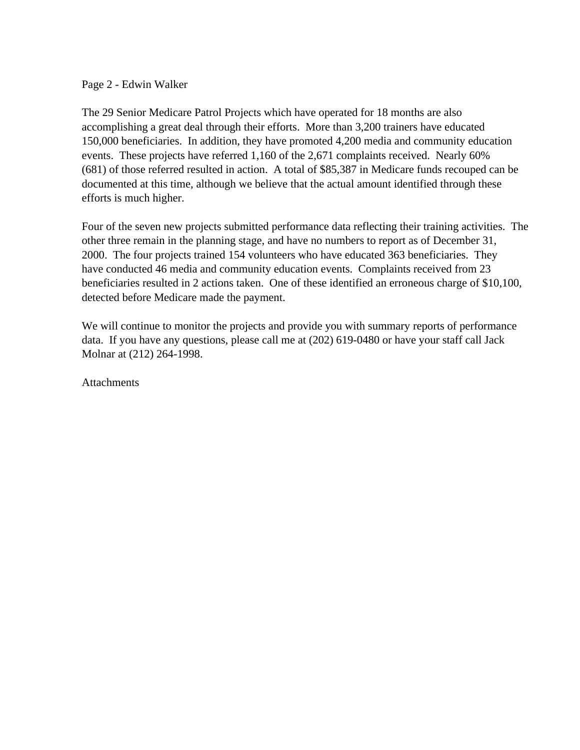#### Page 2 - Edwin Walker

The 29 Senior Medicare Patrol Projects which have operated for 18 months are also accomplishing a great deal through their efforts. More than 3,200 trainers have educated 150,000 beneficiaries. In addition, they have promoted 4,200 media and community education events. These projects have referred 1,160 of the 2,671 complaints received. Nearly 60% (681) of those referred resulted in action. A total of \$85,387 in Medicare funds recouped can be documented at this time, although we believe that the actual amount identified through these efforts is much higher.

Four of the seven new projects submitted performance data reflecting their training activities. The other three remain in the planning stage, and have no numbers to report as of December 31, 2000. The four projects trained 154 volunteers who have educated 363 beneficiaries. They have conducted 46 media and community education events. Complaints received from 23 beneficiaries resulted in 2 actions taken. One of these identified an erroneous charge of \$10,100, detected before Medicare made the payment.

We will continue to monitor the projects and provide you with summary reports of performance data. If you have any questions, please call me at (202) 619-0480 or have your staff call Jack Molnar at (212) 264-1998.

**Attachments**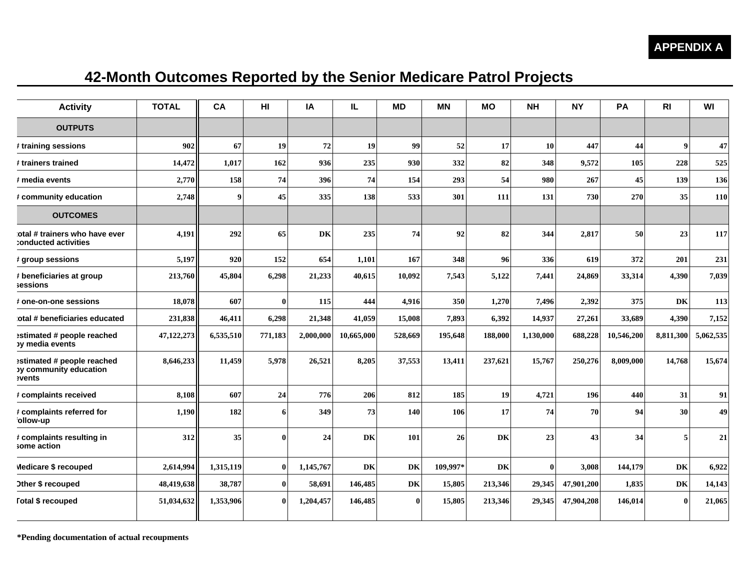# **42-Month Outcomes Reported by the Senior Medicare Patrol Projects**

| <b>Activity</b>                                                       | <b>TOTAL</b> | CA        | HI       | IA        | IL.        | <b>MD</b> | <b>MN</b> | <b>MO</b> | <b>NH</b>    | <b>NY</b>  | PA         | R <sub>l</sub> | WI         |
|-----------------------------------------------------------------------|--------------|-----------|----------|-----------|------------|-----------|-----------|-----------|--------------|------------|------------|----------------|------------|
| <b>OUTPUTS</b>                                                        |              |           |          |           |            |           |           |           |              |            |            |                |            |
| ≢ training sessions                                                   | 902          | 67        | 19       | 72        | 19         | 99        | 52        | 17        | 10           | 447        | 44         | 9              | 47         |
| # trainers trained                                                    | 14,472       | 1,017     | 162      | 936       | 235        | 930       | 332       | 82        | 348          | 9,572      | 105        | 228            | 525        |
| ≉ media events                                                        | 2,770        | 158       | 74       | 396       | 74         | 154       | 293       | 54        | 980          | 267        | 45         | 139            | 136        |
| # community education                                                 | 2,748        | 9         | 45       | 335       | 138        | 533       | 301       | 111       | 131          | 730        | 270        | 35             | <b>110</b> |
| <b>OUTCOMES</b>                                                       |              |           |          |           |            |           |           |           |              |            |            |                |            |
| otal # trainers who have ever<br>conducted activities:                | 4,191        | 292       | 65       | DK        | 235        | 74        | 92        | 82        | 344          | 2,817      | 50         | 23             | 117        |
| ≢ group sessions                                                      | 5,197        | 920       | 152      | 654       | 1,101      | 167       | 348       | 96        | 336          | 619        | 372        | 201            | 231        |
| # beneficiaries at group<br>sessions                                  | 213,760      | 45,804    | 6,298    | 21,233    | 40,615     | 10,092    | 7,543     | 5,122     | 7,441        | 24,869     | 33,314     | 4,390          | 7,039      |
| <b>‡one-on-one sessions</b>                                           | 18,078       | 607       | $\bf{0}$ | 115       | 444        | 4,916     | 350       | 1,270     | 7,496        | 2,392      | 375        | DK             | 113        |
| otal # beneficiaries educated                                         | 231,838      | 46,411    | 6,298    | 21,348    | 41,059     | 15,008    | 7,893     | 6,392     | 14,937       | 27,261     | 33,689     | 4,390          | 7,152      |
| estimated # people reached<br>by media events                         | 47,122,273   | 6,535,510 | 771,183  | 2,000,000 | 10,665,000 | 528,669   | 195,648   | 188,000   | 1,130,000    | 688,228    | 10,546,200 | 8,811,300      | 5,062,535  |
| estimated # people reached<br><b>by community education</b><br>vents: | 8,646,233    | 11,459    | 5,978    | 26,521    | 8,205      | 37,553    | 13,411    | 237,621   | 15,767       | 250,276    | 8,009,000  | 14,768         | 15,674     |
| # complaints received                                                 | 8,108        | 607       | 24       | 776       | 206        | 812       | 185       | 19        | 4,721        | 196        | 440        | 31             | 91         |
| # complaints referred for<br>ollow-up                                 | 1,190        | 182       | 6        | 349       | 73         | 140       | 106       | 17        | 74           | 70         | 94         | 30             | 49         |
| # complaints resulting in<br>some action                              | 312          | 35        | $\bf{0}$ | 24        | <b>DK</b>  | 101       | 26        | DK        | 23           | 43         | 34         | 5              | 21         |
| Medicare \$ recouped                                                  | 2,614,994    | 1,315,119 | $\bf{0}$ | 1,145,767 | DK         | DK        | 109,997*  | DK        | $\mathbf{0}$ | 3,008      | 144,179    | DK             | 6,922      |
| <b>Other \$ recouped</b>                                              | 48,419,638   | 38,787    | 0        | 58,691    | 146,485    | DK        | 15,805    | 213,346   | 29,345       | 47,901,200 | 1,835      | DK             | 14,143     |
| <b>Total \$ recouped</b>                                              | 51,034,632   | 1,353,906 | $\bf{0}$ | 1,204,457 | 146,485    | $\bf{0}$  | 15,805    | 213,346   | 29.345       | 47,904,208 | 146,014    | $\mathbf{0}$   | 21,065     |

**\*Pending documentation of actual recoupments**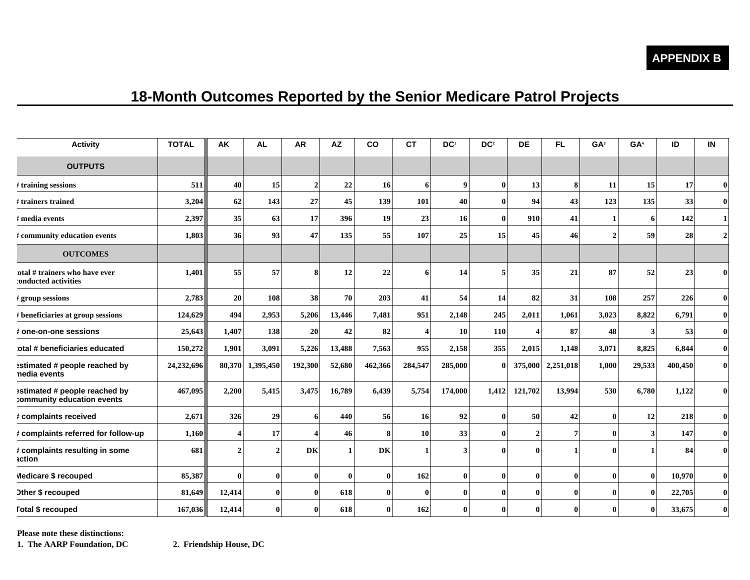#### **APPENDIX B**

## **18-Month Outcomes Reported by the Senior Medicare Patrol Projects**

| <b>Activity</b>                                             | <b>TOTAL</b> | <b>AK</b>        | <b>AL</b>      | <b>AR</b>    | <b>AZ</b>    | <b>CO</b> | <b>CT</b>             | DC <sup>1</sup> | DC <sup>2</sup> | <b>DE</b>             | FL.          | GA <sup>3</sup> | GA <sup>4</sup>         | ID      | IN           |
|-------------------------------------------------------------|--------------|------------------|----------------|--------------|--------------|-----------|-----------------------|-----------------|-----------------|-----------------------|--------------|-----------------|-------------------------|---------|--------------|
| <b>OUTPUTS</b>                                              |              |                  |                |              |              |           |                       |                 |                 |                       |              |                 |                         |         |              |
| $\ddagger$ training sessions                                | 511          | 40               | 15             | $\mathbf{2}$ | 22           | 16        | 6                     | 9 <sup>1</sup>  | $\mathbf{0}$    | 13                    | 8            | 11              | 15                      | 17      | $\bf{0}$     |
| $\rlap{/}$ trainers trained                                 | 3,204        | 62               | 143            | 27           | 45           | 139       | 101                   | 40              | $\mathbf{0}$    | 94                    | 43           | 123             | 135                     | 33      | $\mathbf{0}$ |
| # media events                                              | 2,397        | 35               | 63             | 17           | 396          | 19        | 23                    | 16              | $\mathbf{0}$    | 910                   | 41           |                 | -6                      | 142     |              |
| # community education events                                | 1,803        | 36               | 93             | 47           | 135          | 55        | 107                   | 25              | 15              | 45                    | 46           | $\mathcal{D}$   | 59                      | 28      |              |
| <b>OUTCOMES</b>                                             |              |                  |                |              |              |           |                       |                 |                 |                       |              |                 |                         |         |              |
| otal # trainers who have ever<br>conducted activities       | 1,401        | 55               | 57             | 8            | 12           | 22        | 6                     | 14              | 5               | 35                    | 21           | 87              | 52                      | 23      | 0            |
| # group sessions                                            | 2,783        | 20               | 108            | 38           | 70           | 203       | 41                    | 54              | 14              | 82                    | 31           | 108             | 257                     | 226     | $\mathbf{0}$ |
| # beneficiaries at group sessions                           | 124,629      | 494              | 2,953          | 5,206        | 13,446       | 7,481     | 951                   | 2,148           | 245             | 2,011                 | 1,061        | 3,023           | 8,822                   | 6,791   | $\mathbf{0}$ |
| # one-on-one sessions                                       | 25,643       | 1,407            | 138            | <b>20</b>    | 42           | 82        | $\boldsymbol{\Delta}$ | 10              | 110             | $\boldsymbol{\Delta}$ | 87           | 48              | 3                       | 53      | $\mathbf{0}$ |
| otal # beneficiaries educated                               | 150,272      | 1,901            | 3,091          | 5,226        | 13,488       | 7,563     | 955                   | 2,158           | 355             | 2,015                 | 1,148        | 3,071           | 8,825                   | 6,844   | $\mathbf{0}$ |
| estimated # people reached by<br>nedia events               | 24,232,696   | 80,370           | 1,395,450      | 192,300      | 52,680       | 462,366   | 284,547               | 285,000         | $\mathbf{0}$    | 375,000               | 2,251,018    | 1,000           | 29,533                  | 400,450 | $\mathbf{0}$ |
| estimated # people reached by<br>community education events | 467,095      | 2,200            | 5,415          | 3,475        | 16,789       | 6,439     | 5,754                 | 174,000         | 1,412           | 121,702               | 13,994       | 530             | 6,780                   | 1,122   |              |
| # complaints received                                       | 2,671        | 326              | 29             | 6            | 440          | 56        | <b>16</b>             | 92              | $\mathbf{0}$    | 50                    | 42           | $\mathbf{0}$    | 12                      | 218     | $\bf{0}$     |
| # complaints referred for follow-up                         | 1,160        | $\boldsymbol{4}$ | 17             | 4            | 46           | 8         | 10                    | 33              | $\mathbf{0}$    | $\overline{2}$        | 7            | 0               | $\overline{\mathbf{3}}$ | 147     | $\bf{0}$     |
| # complaints resulting in some<br>action                    | 681          | $\overline{2}$   | $\overline{2}$ | <b>DK</b>    | $\mathbf{1}$ | DK        | 1                     | 3               | $\mathbf{0}$    | $\theta$              | $\mathbf{1}$ | 0               |                         | 84      | $\mathbf{0}$ |
| Medicare \$ recouped                                        | 85,387       | $\bf{0}$         | $\mathbf{0}$   | $\bf{0}$     | $\mathbf{0}$ | $\bf{0}$  | 162                   | $\bf{0}$        | $\mathbf{0}$    | $\mathbf{0}$          | $\mathbf{0}$ | $\mathbf{0}$    | $\bf{0}$                | 10,970  | $\bf{0}$     |
| Other \$ recouped                                           | 81,649       | 12,414           | $\bf{0}$       | $\mathbf{0}$ | 618          | $\bf{0}$  | $\bf{0}$              | $\bf{0}$        | $\mathbf{0}$    | $\mathbf{0}$          | $\mathbf{0}$ | 0               | $\mathbf{0}$            | 22,705  | $\bf{0}$     |
| <b>Total \$ recouped</b>                                    | 167,036      | 12,414           | $\bf{0}$       | 0            | 618          | 0         | 162                   | 0               | $\Omega$        | $\mathbf{0}$          | $\Omega$     |                 | 0                       | 33,675  | $\bf{0}$     |

**Please note these distinctions:** 

**1. The AARP Foundation, DC 2. Friendship House, DC**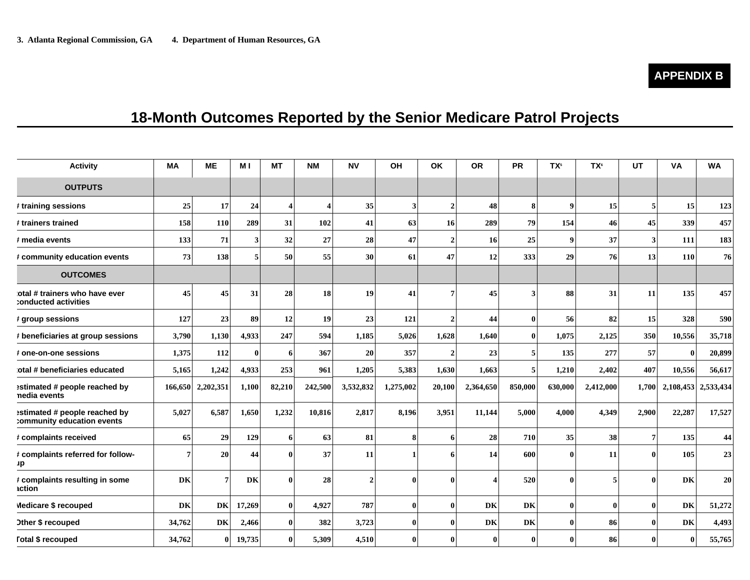## **18-Month Outcomes Reported by the Senior Medicare Patrol Projects**

| <b>Activity</b>                                             | <b>MA</b> | <b>ME</b>         | M I      | <b>MT</b>               | <b>NM</b>               | <b>NV</b>      | OH                      | <b>OK</b>      | <b>OR</b>    | <b>PR</b>    | TX <sup>5</sup> | TX <sup>6</sup> | UT              | <b>VA</b>           | <b>WA</b> |
|-------------------------------------------------------------|-----------|-------------------|----------|-------------------------|-------------------------|----------------|-------------------------|----------------|--------------|--------------|-----------------|-----------------|-----------------|---------------------|-----------|
| <b>OUTPUTS</b>                                              |           |                   |          |                         |                         |                |                         |                |              |              |                 |                 |                 |                     |           |
| # training sessions                                         | 25        | 17                | 24       | $\overline{\mathbf{4}}$ | $\overline{\mathbf{4}}$ | 35             | $\overline{\mathbf{3}}$ | $\overline{2}$ | 48           | 8            | $\bf{o}$        | 15              | 5               | 15                  | 123       |
| # trainers trained                                          | 158       | 110               | 289      | 31                      | 102                     | 41             | 63                      | 16             | 289          | 79           | 154             | 46              | 45              | 339                 | 457       |
| # media events                                              | 133       | 71                | 3        | 32                      | 27                      | 28             | 47                      | $\mathbf{2}$   | <b>16</b>    | 25           | $\mathbf Q$     | 37              | 3               | 111                 | 183       |
| # community education events                                | 73        | 138               | 5        | 50                      | 55                      | 30             | 61                      | 47             | 12           | 333          | 29              | 76              | 13              | <b>110</b>          | 76        |
| <b>OUTCOMES</b>                                             |           |                   |          |                         |                         |                |                         |                |              |              |                 |                 |                 |                     |           |
| otal # trainers who have ever<br>conducted activities       | 45        | 45                | 31       | 28                      | 18                      | 19             | 41                      | 7              | 45           |              | 88              | 31              | 11              | 135                 | 457       |
| # group sessions                                            | 127       | 23                | 89       | 12                      | 19                      | 23             | 121                     | $\overline{2}$ | 44           | $\mathbf{0}$ | 56              | 82              | 15              | 328                 | 590       |
| # beneficiaries at group sessions                           | 3,790     | 1,130             | 4,933    | 247                     | 594                     | 1,185          | 5,026                   | 1,628          | 1,640        | $\mathbf{0}$ | 1,075           | 2,125           | 350             | 10,556              | 35,718    |
| # one-on-one sessions                                       | 1,375     | 112               | $\bf{0}$ | 6                       | 367                     | 20             | 357                     | $\overline{2}$ | 23           | 5            | 135             | 277             | 57              | $\mathbf{0}$        | 20,899    |
| otal # beneficiaries educated                               | 5,165     | 1,242             | 4,933    | 253                     | 961                     | 1,205          | 5,383                   | 1,630          | 1,663        |              | 1,210           | 2,402           | 407             | 10,556              | 56,617    |
| estimated # people reached by<br>nedia events               |           | 166,650 2,202,351 | 1,100    | 82,210                  | 242,500                 | 3,532,832      | 1,275,002               | 20,100         | 2,364,650    | 850,000      | 630,000         | 2,412,000       | 1,700           | 2,108,453 2,533,434 |           |
| estimated # people reached by<br>:ommunity education events | 5,027     | 6,587             | 1,650    | 1,232                   | 10,816                  | 2,817          | 8,196                   | 3,951          | 11,144       | 5,000        | 4,000           | 4,349           | 2,900           | 22,287              | 17,527    |
| # complaints received                                       | 65        | 29                | 129      | 6                       | 63                      | 81             | 8                       | 6              | 28           | 710          | 35              | 38              | $7\phantom{.0}$ | 135                 | 44        |
| # complaints referred for follow-<br>Jp                     | 7         | 20                | 44       | $\mathbf{0}$            | 37                      | 11             |                         | 6              | 14           | 600          | $\mathbf{0}$    | 11              | $\mathbf{0}$    | 105                 | 23        |
| # complaints resulting in some<br>action                    | DK        | 7                 | DK       | $\bf{0}$                | 28                      | $\overline{2}$ | $\mathbf{0}$            | O              |              | 520          | $\mathbf{0}$    |                 | $\theta$        | DK                  | 20        |
| Medicare \$ recouped                                        | DK        | DK                | 17,269   | $\mathbf{0}$            | 4,927                   | 787            | $\bf{0}$                | $\bf{0}$       | DK           | DK           | $\mathbf{0}$    | $\mathbf{0}$    | $\mathbf{0}$    | DK                  | 51,272    |
| Other \$ recouped                                           | 34,762    | DK                | 2,466    | $\bf{0}$                | 382                     | 3,723          | $\bf{0}$                | 0              | DK           | DK           | 0               | 86              | $\mathbf{0}$    | DK                  | 4,493     |
| <b>Total \$ recouped</b>                                    | 34,762    | $\bf{0}$          | 19,735   | $\mathbf{0}$            | 5,309                   | 4,510          | $\bf{0}$                |                | $\mathbf{0}$ | $\mathbf{0}$ | 0               | 86              | $\mathbf{0}$    | $\bf{0}$            | 55,765    |